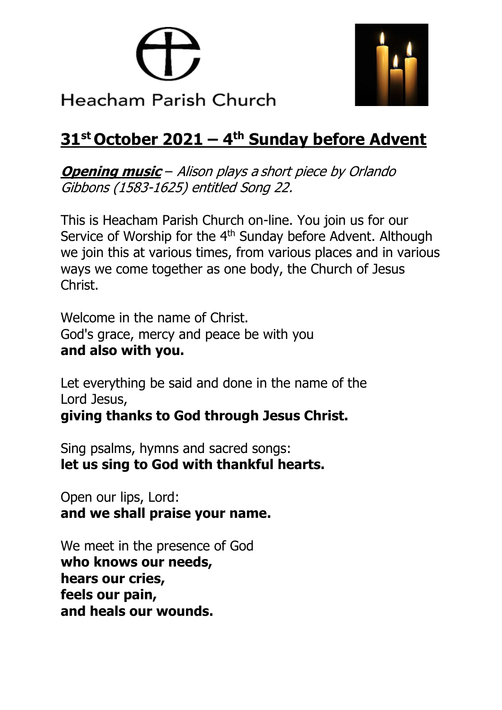



# **31st October 2021 – 4 th Sunday before Advent**

**Opening music** – Alison plays <sup>a</sup> short piece by Orlando Gibbons (1583-1625) entitled Song 22.

This is Heacham Parish Church on-line. You join us for our Service of Worship for the 4<sup>th</sup> Sunday before Advent. Although we join this at various times, from various places and in various ways we come together as one body, the Church of Jesus Christ.

Welcome in the name of Christ. God's grace, mercy and peace be with you **and also with you.**

Let everything be said and done in the name of the Lord Jesus,

**giving thanks to God through Jesus Christ.**

Sing psalms, hymns and sacred songs: **let us sing to God with thankful hearts.**

Open our lips, Lord: **and we shall praise your name.**

We meet in the presence of God **who knows our needs, hears our cries, feels our pain, and heals our wounds.**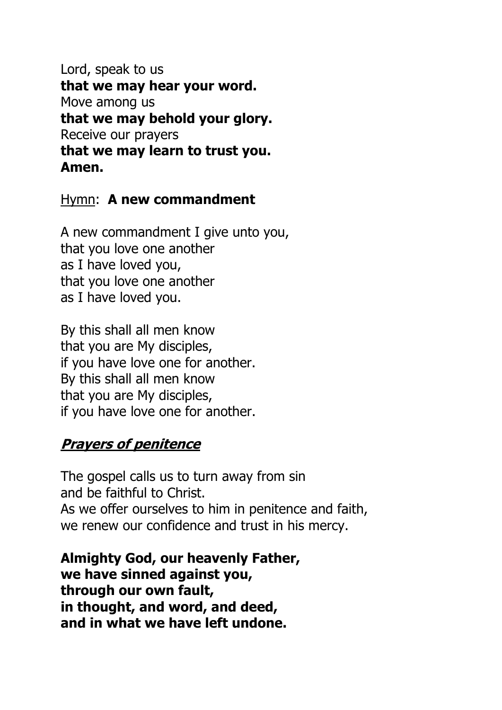Lord, speak to us **that we may hear your word.** Move among us **that we may behold your glory.** Receive our prayers **that we may learn to trust you. Amen.**

Hymn: **A new commandment**

A new commandment I give unto you, that you love one another as I have loved you, that you love one another as I have loved you.

By this shall all men know that you are My disciples, if you have love one for another. By this shall all men know that you are My disciples, if you have love one for another.

### **Prayers of penitence**

The gospel calls us to turn away from sin and be faithful to Christ. As we offer ourselves to him in penitence and faith, we renew our confidence and trust in his mercy.

**Almighty God, our heavenly Father, we have sinned against you, through our own fault, in thought, and word, and deed, and in what we have left undone.**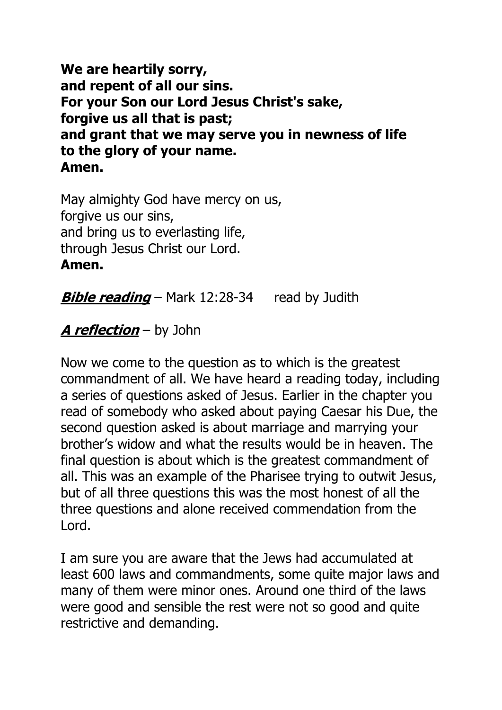**We are heartily sorry, and repent of all our sins. For your Son our Lord Jesus Christ's sake, forgive us all that is past; and grant that we may serve you in newness of life to the glory of your name. Amen.**

May almighty God have mercy on us, forgive us our sins, and bring us to everlasting life, through Jesus Christ our Lord. **Amen.**

**Bible reading** – Mark 12:28-34 read by Judith

# **A reflection** – by John

Now we come to the question as to which is the greatest commandment of all. We have heard a reading today, including a series of questions asked of Jesus. Earlier in the chapter you read of somebody who asked about paying Caesar his Due, the second question asked is about marriage and marrying your brother's widow and what the results would be in heaven. The final question is about which is the greatest commandment of all. This was an example of the Pharisee trying to outwit Jesus, but of all three questions this was the most honest of all the three questions and alone received commendation from the Lord.

I am sure you are aware that the Jews had accumulated at least 600 laws and commandments, some quite major laws and many of them were minor ones. Around one third of the laws were good and sensible the rest were not so good and quite restrictive and demanding.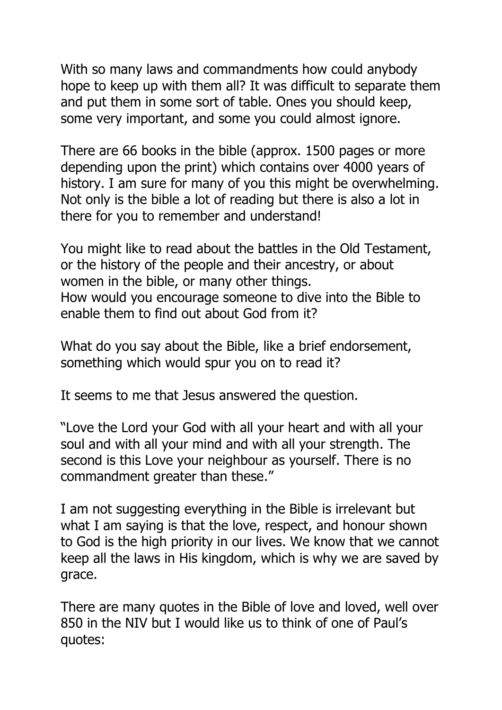With so many laws and commandments how could anybody hope to keep up with them all? It was difficult to separate them and put them in some sort of table. Ones you should keep, some very important, and some you could almost ignore.

There are 66 books in the bible (approx. 1500 pages or more depending upon the print) which contains over 4000 years of history. I am sure for many of you this might be overwhelming. Not only is the bible a lot of reading but there is also a lot in there for you to remember and understand!

You might like to read about the battles in the Old Testament, or the history of the people and their ancestry, or about women in the bible, or many other things. How would you encourage someone to dive into the Bible to enable them to find out about God from it?

What do you say about the Bible, like a brief endorsement, something which would spur you on to read it?

It seems to me that Jesus answered the question.

"Love the Lord your God with all your heart and with all your soul and with all your mind and with all your strength. The second is this Love your neighbour as yourself. There is no commandment greater than these."

I am not suggesting everything in the Bible is irrelevant but what I am saying is that the love, respect, and honour shown to God is the high priority in our lives. We know that we cannot keep all the laws in His kingdom, which is why we are saved by grace.

There are many quotes in the Bible of love and loved, well over 850 in the NIV but I would like us to think of one of Paul's quotes: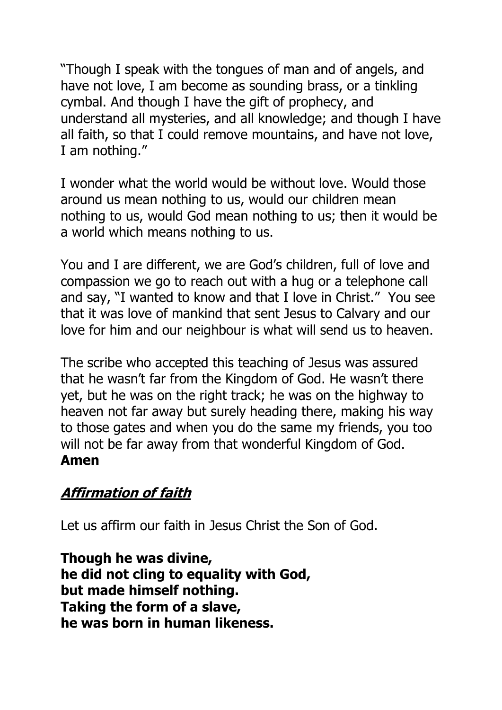"Though I speak with the tongues of man and of angels, and have not love, I am become as sounding brass, or a tinkling cymbal. And though I have the gift of prophecy, and understand all mysteries, and all knowledge; and though I have all faith, so that I could remove mountains, and have not love, I am nothing."

I wonder what the world would be without love. Would those around us mean nothing to us, would our children mean nothing to us, would God mean nothing to us; then it would be a world which means nothing to us.

You and I are different, we are God's children, full of love and compassion we go to reach out with a hug or a telephone call and say, "I wanted to know and that I love in Christ." You see that it was love of mankind that sent Jesus to Calvary and our love for him and our neighbour is what will send us to heaven.

The scribe who accepted this teaching of Jesus was assured that he wasn't far from the Kingdom of God. He wasn't there yet, but he was on the right track; he was on the highway to heaven not far away but surely heading there, making his way to those gates and when you do the same my friends, you too will not be far away from that wonderful Kingdom of God. **Amen**

### **Affirmation of faith**

Let us affirm our faith in Jesus Christ the Son of God.

**Though he was divine, he did not cling to equality with God, but made himself nothing. Taking the form of a slave, he was born in human likeness.**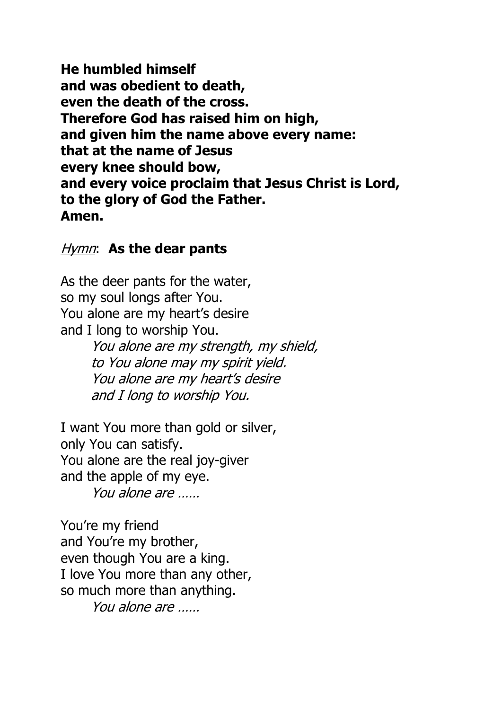**He humbled himself and was obedient to death, even the death of the cross. Therefore God has raised him on high, and given him the name above every name: that at the name of Jesus every knee should bow, and every voice proclaim that Jesus Christ is Lord, to the glory of God the Father. Amen.**

#### Hymn: **As the dear pants**

As the deer pants for the water, so my soul longs after You. You alone are my heart's desire and I long to worship You.

You alone are my strength, my shield, to You alone may my spirit yield. You alone are my heart's desire and I long to worship You.

I want You more than gold or silver, only You can satisfy. You alone are the real joy-giver and the apple of my eye.

You alone are ……

You're my friend and You're my brother, even though You are a king. I love You more than any other, so much more than anything. You alone are ……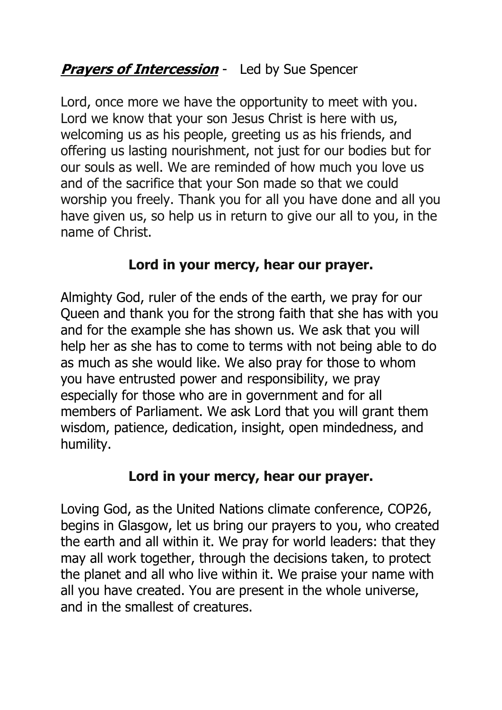# **Prayers of Intercession** - Led by Sue Spencer

Lord, once more we have the opportunity to meet with you. Lord we know that your son Jesus Christ is here with us, welcoming us as his people, greeting us as his friends, and offering us lasting nourishment, not just for our bodies but for our souls as well. We are reminded of how much you love us and of the sacrifice that your Son made so that we could worship you freely. Thank you for all you have done and all you have given us, so help us in return to give our all to you, in the name of Christ.

# **Lord in your mercy, hear our prayer.**

Almighty God, ruler of the ends of the earth, we pray for our Queen and thank you for the strong faith that she has with you and for the example she has shown us. We ask that you will help her as she has to come to terms with not being able to do as much as she would like. We also pray for those to whom you have entrusted power and responsibility, we pray especially for those who are in government and for all members of Parliament. We ask Lord that you will grant them wisdom, patience, dedication, insight, open mindedness, and humility.

# **Lord in your mercy, hear our prayer.**

Loving God, as the United Nations climate conference, COP26, begins in Glasgow, let us bring our prayers to you, who created the earth and all within it. We pray for world leaders: that they may all work together, through the decisions taken, to protect the planet and all who live within it. We praise your name with all you have created. You are present in the whole universe, and in the smallest of creatures.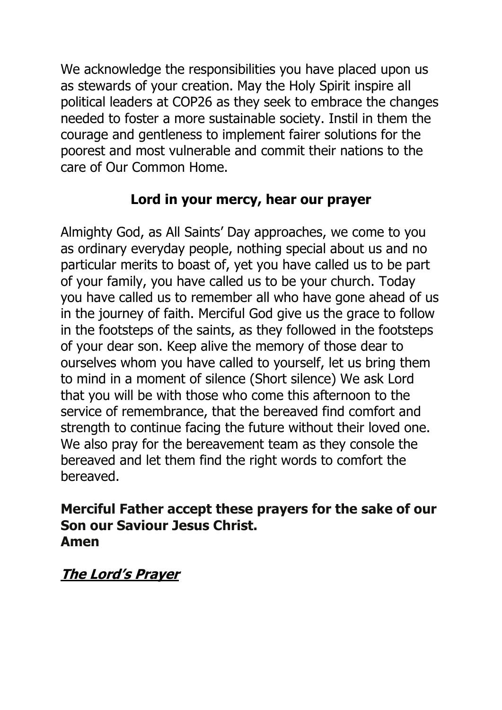We acknowledge the responsibilities you have placed upon us as stewards of your creation. May the Holy Spirit inspire all political leaders at COP26 as they seek to embrace the changes needed to foster a more sustainable society. Instil in them the courage and gentleness to implement fairer solutions for the poorest and most vulnerable and commit their nations to the care of Our Common Home.

### **Lord in your mercy, hear our prayer**

Almighty God, as All Saints' Day approaches, we come to you as ordinary everyday people, nothing special about us and no particular merits to boast of, yet you have called us to be part of your family, you have called us to be your church. Today you have called us to remember all who have gone ahead of us in the journey of faith. Merciful God give us the grace to follow in the footsteps of the saints, as they followed in the footsteps of your dear son. Keep alive the memory of those dear to ourselves whom you have called to yourself, let us bring them to mind in a moment of silence (Short silence) We ask Lord that you will be with those who come this afternoon to the service of remembrance, that the bereaved find comfort and strength to continue facing the future without their loved one. We also pray for the bereavement team as they console the bereaved and let them find the right words to comfort the bereaved.

#### **Merciful Father accept these prayers for the sake of our Son our Saviour Jesus Christ. Amen**

**The Lord's Prayer**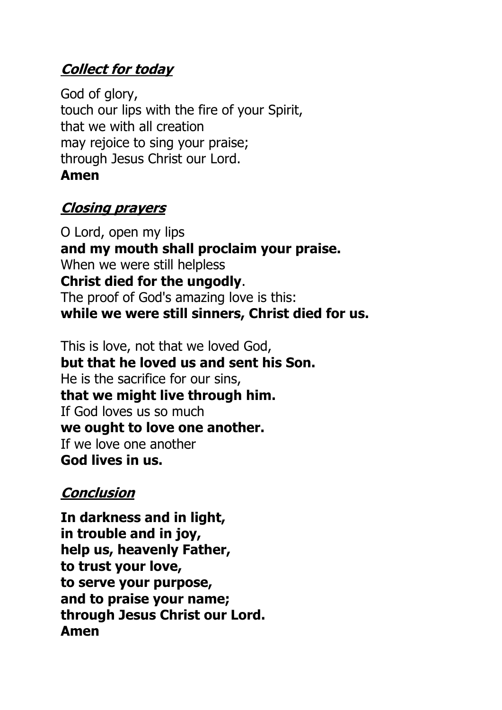# **Collect for today**

God of glory, touch our lips with the fire of your Spirit, that we with all creation may rejoice to sing your praise; through Jesus Christ our Lord. **Amen**

# **Closing prayers**

O Lord, open my lips **and my mouth shall proclaim your praise.** When we were still helpless **Christ died for the ungodly**. The proof of God's amazing love is this: **while we were still sinners, Christ died for us.**

This is love, not that we loved God, **but that he loved us and sent his Son.** He is the sacrifice for our sins, **that we might live through him.** If God loves us so much **we ought to love one another.** If we love one another **God lives in us.**

### **Conclusion**

**In darkness and in light, in trouble and in joy, help us, heavenly Father, to trust your love, to serve your purpose, and to praise your name; through Jesus Christ our Lord. Amen**